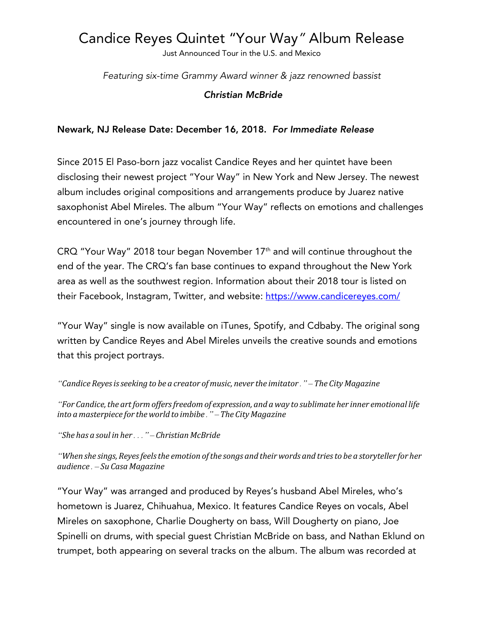# Candice Reyes Quintet "Your Way*"* Album Release

Just Announced Tour in the U.S. and Mexico

*Featuring six-time Grammy Award winner & jazz renowned bassist*

*Christian McBride*

### Newark, NJ Release Date: December 16, 2018. *For Immediate Release*

Since 2015 El Paso-born jazz vocalist Candice Reyes and her quintet have been disclosing their newest project "Your Way" in New York and New Jersey. The newest album includes original compositions and arrangements produce by Juarez native saxophonist Abel Mireles. The album "Your Way" reflects on emotions and challenges encountered in one's journey through life.

CRQ "Your Way" 2018 tour began November 17<sup>th</sup> and will continue throughout the end of the year. The CRQ's fan base continues to expand throughout the New York area as well as the southwest region. Information about their 2018 tour is listed on their Facebook, Instagram, Twitter, and website: https://www.candicereyes.com/

"Your Way" single is now available on iTunes, Spotify, and Cdbaby. The original song written by Candice Reyes and Abel Mireles unveils the creative sounds and emotions that this project portrays.

*"Candice Reyesisseeking to be a creator ofmusic, never the imitator*.*" – The CityMagazine*

*"For Candice,the artformoffersfreedomof expression, and a way to sublimate her inner emotional life into amasterpiece for the world to imbibe*.*" – The CityMagazine*

*"She has a soul in her*...*" – ChristianMcBride*

"When she sings, Reyes feels the emotion of the songs and their words and tries to be a storyteller for her *audience*. *– Su CasaMagazine*

"Your Way" was arranged and produced by Reyes's husband Abel Mireles, who's hometown is Juarez, Chihuahua, Mexico. It features Candice Reyes on vocals, Abel Mireles on saxophone, Charlie Dougherty on bass, Will Dougherty on piano, Joe Spinelli on drums, with special guest Christian McBride on bass, and Nathan Eklund on trumpet, both appearing on several tracks on the album. The album was recorded at